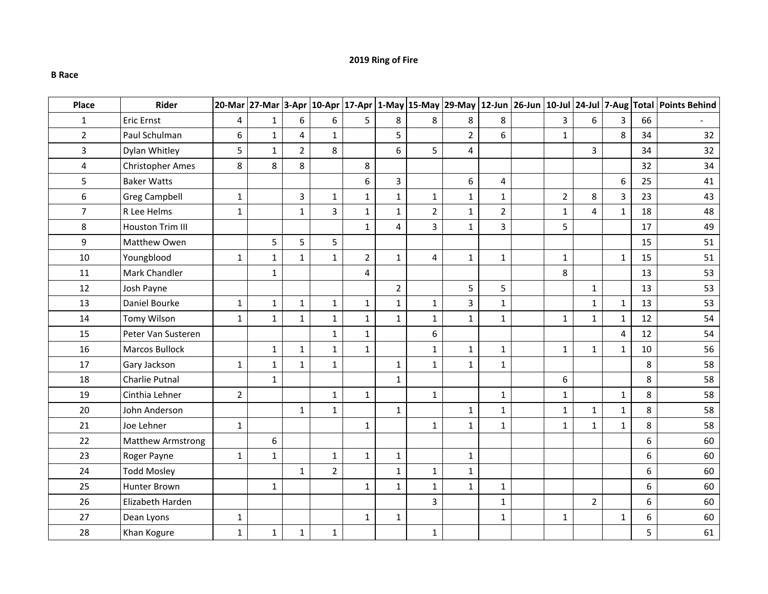## **2019 Ring of Fire**

## **B Race**

| Place          | Rider                   |                | 20-Mar 27-Mar 3-Apr |                |                |                |                |                |                |                |                |                |                |    | 10-Apr  17-Apr  1-May  15-May  29-May  12-Jun  26-Jun  10-Jul  24-Jul  7-Aug  Total  Points Behind |
|----------------|-------------------------|----------------|---------------------|----------------|----------------|----------------|----------------|----------------|----------------|----------------|----------------|----------------|----------------|----|----------------------------------------------------------------------------------------------------|
| $\mathbf{1}$   | Eric Ernst              | 4              | $\mathbf{1}$        | 6              | 6              | 5              | 8              | 8              | 8              | 8              | $\overline{3}$ | 6              | 3              | 66 |                                                                                                    |
| $\overline{2}$ | Paul Schulman           | 6              | $\mathbf{1}$        | 4              | $\mathbf{1}$   |                | 5              |                | $\overline{2}$ | 6              | $\mathbf{1}$   |                | 8              | 34 | 32                                                                                                 |
| $\overline{3}$ | Dylan Whitley           | 5              | $\mathbf{1}$        | $\overline{2}$ | 8              |                | 6              | 5              | 4              |                |                | 3              |                | 34 | 32                                                                                                 |
| $\overline{4}$ | <b>Christopher Ames</b> | 8              | 8                   | 8              |                | 8              |                |                |                |                |                |                |                | 32 | 34                                                                                                 |
| 5              | <b>Baker Watts</b>      |                |                     |                |                | 6              | $\overline{3}$ |                | 6              | 4              |                |                | 6              | 25 | 41                                                                                                 |
| 6              | <b>Greg Campbell</b>    | $\mathbf{1}$   |                     | 3              | $\mathbf{1}$   | $\mathbf{1}$   | $\mathbf{1}$   | $\mathbf{1}$   | $\mathbf{1}$   | $\mathbf{1}$   | $\overline{2}$ | 8              | 3              | 23 | 43                                                                                                 |
| $\overline{7}$ | R Lee Helms             | $\mathbf{1}$   |                     | $1\,$          | 3              | $\mathbf 1$    | $1\,$          | $\overline{2}$ | $\mathbf{1}$   | $\overline{2}$ | $\mathbf 1$    | $\overline{4}$ | $\mathbf{1}$   | 18 | 48                                                                                                 |
| 8              | Houston Trim III        |                |                     |                |                | $\mathbf{1}$   | $\overline{4}$ | $\overline{3}$ | $\mathbf 1$    | $\overline{3}$ | 5              |                |                | 17 | 49                                                                                                 |
| 9              | Matthew Owen            |                | 5                   | 5              | 5              |                |                |                |                |                |                |                |                | 15 | 51                                                                                                 |
| 10             | Youngblood              | $\mathbf{1}$   | $\mathbf{1}$        | $\mathbf{1}$   | $\mathbf{1}$   | $\overline{2}$ | $\mathbf{1}$   | 4              | $\mathbf 1$    | $\mathbf 1$    | $1\,$          |                | $\mathbf{1}$   | 15 | 51                                                                                                 |
| 11             | Mark Chandler           |                | $\mathbf{1}$        |                |                | 4              |                |                |                |                | 8              |                |                | 13 | 53                                                                                                 |
| 12             | Josh Payne              |                |                     |                |                |                | $\overline{2}$ |                | 5              | 5              |                | $\mathbf 1$    |                | 13 | 53                                                                                                 |
| 13             | Daniel Bourke           | $\mathbf{1}$   | $\mathbf{1}$        | $\mathbf{1}$   | $\mathbf{1}$   | $\mathbf{1}$   | $\mathbf{1}$   | $\mathbf{1}$   | 3              | $\mathbf{1}$   |                | $\mathbf{1}$   | $\mathbf{1}$   | 13 | 53                                                                                                 |
| 14             | <b>Tomy Wilson</b>      | $\mathbf{1}$   | $\mathbf{1}$        | $\mathbf{1}$   | $\mathbf{1}$   | $\mathbf{1}$   | $\mathbf{1}$   | $1\,$          | $\mathbf{1}$   | $\mathbf{1}$   | $1\,$          | $\mathbf 1$    | $\mathbf{1}$   | 12 | 54                                                                                                 |
| 15             | Peter Van Susteren      |                |                     |                | $\mathbf{1}$   | $\mathbf{1}$   |                | 6              |                |                |                |                | $\overline{4}$ | 12 | 54                                                                                                 |
| 16             | <b>Marcos Bullock</b>   |                | $\mathbf 1$         | $1\,$          | $\mathbf 1$    | $\mathbf{1}$   |                | $\mathbf 1$    | $\mathbf 1$    | $\mathbf 1$    | $\mathbf 1$    | $\mathbf 1$    | $\mathbf 1$    | 10 | 56                                                                                                 |
| 17             | Gary Jackson            | $\mathbf{1}$   | $\mathbf 1$         | $\mathbf{1}$   | $\mathbf{1}$   |                | $\mathbf{1}$   | $\mathbf{1}$   | $\mathbf 1$    | $\mathbf{1}$   |                |                |                | 8  | 58                                                                                                 |
| 18             | Charlie Putnal          |                | $\mathbf{1}$        |                |                |                | $1\,$          |                |                |                | 6              |                |                | 8  | 58                                                                                                 |
| 19             | Cinthia Lehner          | $\overline{2}$ |                     |                | $\mathbf 1$    | $\mathbf{1}$   |                | $1\,$          |                | $\mathbf{1}$   | $\mathbf 1$    |                | $\mathbf{1}$   | 8  | 58                                                                                                 |
| 20             | John Anderson           |                |                     | $\mathbf{1}$   | $\mathbf{1}$   |                | $\mathbf{1}$   |                | $\mathbf{1}$   | $\mathbf{1}$   | $\mathbf{1}$   | $\mathbf{1}$   | $\mathbf{1}$   | 8  | 58                                                                                                 |
| 21             | Joe Lehner              | $\mathbf{1}$   |                     |                |                | $\mathbf{1}$   |                | $\mathbf{1}$   | $\mathbf{1}$   | $\mathbf{1}$   | $\mathbf{1}$   | $\mathbf{1}$   | $\mathbf{1}$   | 8  | 58                                                                                                 |
| 22             | Matthew Armstrong       |                | 6                   |                |                |                |                |                |                |                |                |                |                | 6  | 60                                                                                                 |
| 23             | Roger Payne             | $\mathbf{1}$   | $\mathbf{1}$        |                | $\mathbf{1}$   | $\mathbf{1}$   | $\mathbf 1$    |                | $\mathbf{1}$   |                |                |                |                | 6  | 60                                                                                                 |
| 24             | <b>Todd Mosley</b>      |                |                     | $\mathbf{1}$   | $\overline{2}$ |                | $\mathbf{1}$   | $\mathbf{1}$   | $\mathbf{1}$   |                |                |                |                | 6  | 60                                                                                                 |
| 25             | <b>Hunter Brown</b>     |                | $\mathbf{1}$        |                |                | $\mathbf{1}$   | $\mathbf{1}$   | $\mathbf{1}$   | $\mathbf{1}$   | $\mathbf{1}$   |                |                |                | 6  | 60                                                                                                 |
| 26             | Elizabeth Harden        |                |                     |                |                |                |                | $\overline{3}$ |                | $\mathbf{1}$   |                | $\overline{2}$ |                | 6  | 60                                                                                                 |
| 27             | Dean Lyons              | $\mathbf{1}$   |                     |                |                | $\mathbf{1}$   | $\mathbf{1}$   |                |                | $\mathbf{1}$   | $\mathbf{1}$   |                | $\mathbf{1}$   | 6  | 60                                                                                                 |
| 28             | Khan Kogure             | $\mathbf{1}$   | $\mathbf{1}$        | $\mathbf{1}$   | $\mathbf{1}$   |                |                | $\mathbf{1}$   |                |                |                |                |                | 5  | 61                                                                                                 |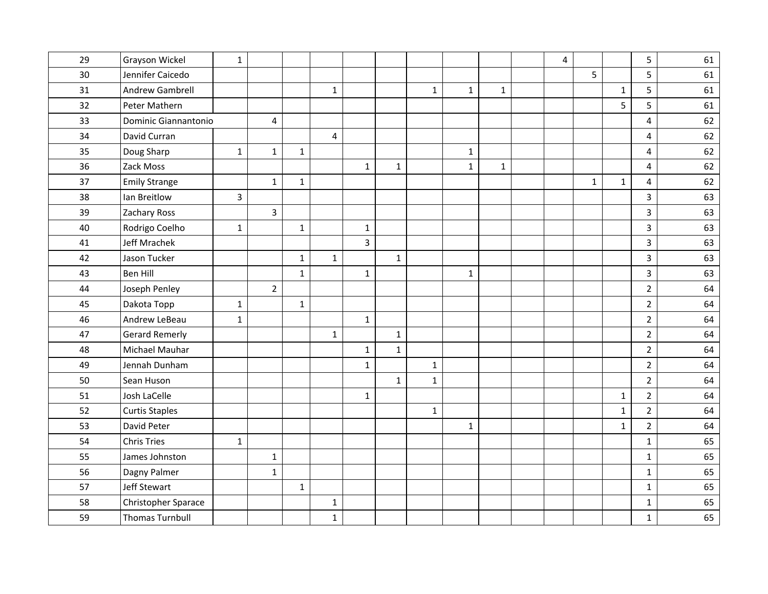| 29 | Grayson Wickel         | $\mathbf 1$  |                         |              |                |                |              |              |              |              | $\overline{4}$ |              |              | 5              | 61 |
|----|------------------------|--------------|-------------------------|--------------|----------------|----------------|--------------|--------------|--------------|--------------|----------------|--------------|--------------|----------------|----|
| 30 | Jennifer Caicedo       |              |                         |              |                |                |              |              |              |              |                | 5            |              | 5              | 61 |
| 31 | Andrew Gambrell        |              |                         |              | $\mathbf{1}$   |                |              | $\mathbf{1}$ | $\mathbf{1}$ | $\mathbf{1}$ |                |              | $\mathbf{1}$ | 5              | 61 |
| 32 | Peter Mathern          |              |                         |              |                |                |              |              |              |              |                |              | 5            | 5              | 61 |
| 33 | Dominic Giannantonio   |              | $\overline{\mathbf{4}}$ |              |                |                |              |              |              |              |                |              |              | $\overline{4}$ | 62 |
| 34 | David Curran           |              |                         |              | $\overline{4}$ |                |              |              |              |              |                |              |              | $\overline{4}$ | 62 |
| 35 | Doug Sharp             | $\mathbf{1}$ | $\mathbf{1}$            | $\mathbf 1$  |                |                |              |              | $\mathbf{1}$ |              |                |              |              | $\overline{4}$ | 62 |
| 36 | Zack Moss              |              |                         |              |                | $\mathbf{1}$   | $\mathbf{1}$ |              | $\mathbf{1}$ | $\mathbf{1}$ |                |              |              | $\overline{4}$ | 62 |
| 37 | <b>Emily Strange</b>   |              | $\mathbf{1}$            | $\mathbf{1}$ |                |                |              |              |              |              |                | $\mathbf{1}$ | $\mathbf{1}$ | $\overline{4}$ | 62 |
| 38 | Ian Breitlow           | 3            |                         |              |                |                |              |              |              |              |                |              |              | $\overline{3}$ | 63 |
| 39 | <b>Zachary Ross</b>    |              | $\overline{\mathbf{3}}$ |              |                |                |              |              |              |              |                |              |              | $\overline{3}$ | 63 |
| 40 | Rodrigo Coelho         | $\mathbf{1}$ |                         | $\mathbf{1}$ |                | $\mathbf{1}$   |              |              |              |              |                |              |              | $\overline{3}$ | 63 |
| 41 | Jeff Mrachek           |              |                         |              |                | $\overline{3}$ |              |              |              |              |                |              |              | $\overline{3}$ | 63 |
| 42 | Jason Tucker           |              |                         | $\mathbf 1$  | $\mathbf{1}$   |                | $\mathbf 1$  |              |              |              |                |              |              | $\overline{3}$ | 63 |
| 43 | <b>Ben Hill</b>        |              |                         | $\mathbf{1}$ |                | $\mathbf{1}$   |              |              | $\mathbf{1}$ |              |                |              |              | $\overline{3}$ | 63 |
| 44 | Joseph Penley          |              | $\overline{2}$          |              |                |                |              |              |              |              |                |              |              | $\overline{2}$ | 64 |
| 45 | Dakota Topp            | $\mathbf{1}$ |                         | $\mathbf 1$  |                |                |              |              |              |              |                |              |              | $\overline{2}$ | 64 |
| 46 | Andrew LeBeau          | $\mathbf 1$  |                         |              |                | $\mathbf{1}$   |              |              |              |              |                |              |              | $\overline{2}$ | 64 |
| 47 | <b>Gerard Remerly</b>  |              |                         |              | $\mathbf{1}$   |                | $\mathbf 1$  |              |              |              |                |              |              | $\overline{2}$ | 64 |
| 48 | Michael Mauhar         |              |                         |              |                | $\mathbf 1$    | $\mathbf 1$  |              |              |              |                |              |              | $\overline{2}$ | 64 |
| 49 | Jennah Dunham          |              |                         |              |                | $\mathbf{1}$   |              | $\mathbf 1$  |              |              |                |              |              | $\overline{2}$ | 64 |
| 50 | Sean Huson             |              |                         |              |                |                | $\mathbf{1}$ | $\mathbf{1}$ |              |              |                |              |              | $\overline{2}$ | 64 |
| 51 | Josh LaCelle           |              |                         |              |                | $\mathbf{1}$   |              |              |              |              |                |              | $\mathbf{1}$ | $\overline{2}$ | 64 |
| 52 | <b>Curtis Staples</b>  |              |                         |              |                |                |              | $\mathbf{1}$ |              |              |                |              | $\mathbf 1$  | $\overline{2}$ | 64 |
| 53 | David Peter            |              |                         |              |                |                |              |              | $\mathbf{1}$ |              |                |              | $\mathbf{1}$ | $\overline{2}$ | 64 |
| 54 | <b>Chris Tries</b>     | $\mathbf{1}$ |                         |              |                |                |              |              |              |              |                |              |              | $\mathbf{1}$   | 65 |
| 55 | James Johnston         |              | $\mathbf{1}$            |              |                |                |              |              |              |              |                |              |              | $\mathbf{1}$   | 65 |
| 56 | Dagny Palmer           |              | $\mathbf{1}$            |              |                |                |              |              |              |              |                |              |              | $\mathbf 1$    | 65 |
| 57 | Jeff Stewart           |              |                         | $\mathbf{1}$ |                |                |              |              |              |              |                |              |              | $1\,$          | 65 |
| 58 | Christopher Sparace    |              |                         |              | $\mathbf 1$    |                |              |              |              |              |                |              |              | $\mathbf 1$    | 65 |
| 59 | <b>Thomas Turnbull</b> |              |                         |              | $\mathbf{1}$   |                |              |              |              |              |                |              |              | $\mathbf{1}$   | 65 |
|    |                        |              |                         |              |                |                |              |              |              |              |                |              |              |                |    |